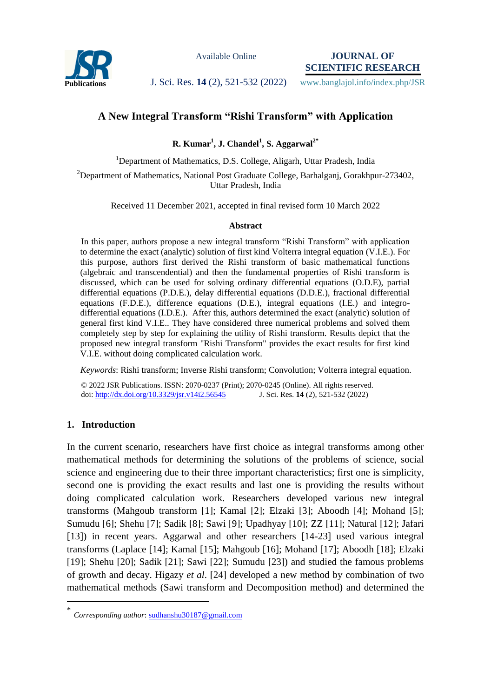

Available Online

**JOURNAL OF SCIENTIFIC RESEARCH**

**Publications J. Sci. Res. 14 (2), 521-532 (2022)** www.banglajol.info/index.php/JSR

# **A New Integral Transform "Rishi Transform" with Application**

**R. Kumar<sup>1</sup> , J. Chandel<sup>1</sup> , S. Aggarwal2\***

<sup>1</sup>Department of Mathematics, D.S. College, Aligarh, Uttar Pradesh, India

<sup>2</sup>Department of Mathematics, National Post Graduate College, Barhalganj, Gorakhpur-273402, Uttar Pradesh, India

Received 11 December 2021, accepted in final revised form 10 March 2022

#### **Abstract**

In this paper, authors propose a new integral transform "Rishi Transform" with application to determine the exact (analytic) solution of first kind Volterra integral equation (V.I.E.). For this purpose, authors first derived the Rishi transform of basic mathematical functions (algebraic and transcendential) and then the fundamental properties of Rishi transform is discussed, which can be used for solving ordinary differential equations (O.D.E), partial differential equations (P.D.E.), delay differential equations (D.D.E.), fractional differential equations (F.D.E.), difference equations (D.E.), integral equations (I.E.) and integrodifferential equations (I.D.E.). After this, authors determined the exact (analytic) solution of general first kind V.I.E.. They have considered three numerical problems and solved them completely step by step for explaining the utility of Rishi transform. Results depict that the proposed new integral transform "Rishi Transform" provides the exact results for first kind V.I.E. without doing complicated calculation work.

*Keywords*: Rishi transform; Inverse Rishi transform; Convolution; Volterra integral equation.

© 2022 JSR Publications. ISSN: 2070-0237 (Print); 2070-0245 (Online). All rights reserved. doi: [http://dx.doi.org/10.3329/jsr.v14i2.56](http://dx.doi.org/10.3329/jsr.v14i2.54735)545

# **1. Introduction**

 $\overline{a}$ 

In the current scenario, researchers have first choice as integral transforms among other mathematical methods for determining the solutions of the problems of science, social science and engineering due to their three important characteristics; first one is simplicity, second one is providing the exact results and last one is providing the results without doing complicated calculation work. Researchers developed various new integral transforms (Mahgoub transform [1]; Kamal [2]; Elzaki [3]; Aboodh [4]; Mohand [5]; Sumudu [6]; Shehu [7]; Sadik [8]; Sawi [9]; Upadhyay [10]; ZZ [11]; Natural [12]; Jafari [13]) in recent years. Aggarwal and other researchers [14-23] used various integral transforms (Laplace [14]; Kamal [15]; Mahgoub [16]; Mohand [17]; Aboodh [18]; Elzaki [19]; Shehu [20]; Sadik [21]; Sawi [22]; Sumudu [23]) and studied the famous problems of growth and decay. Higazy *et al*. [24] developed a new method by combination of two mathematical methods (Sawi transform and Decomposition method) and determined the

<sup>\*</sup> *Corresponding author*[: sudhanshu30187@gmail.com](mailto:sudhanshu30187@gmail.com)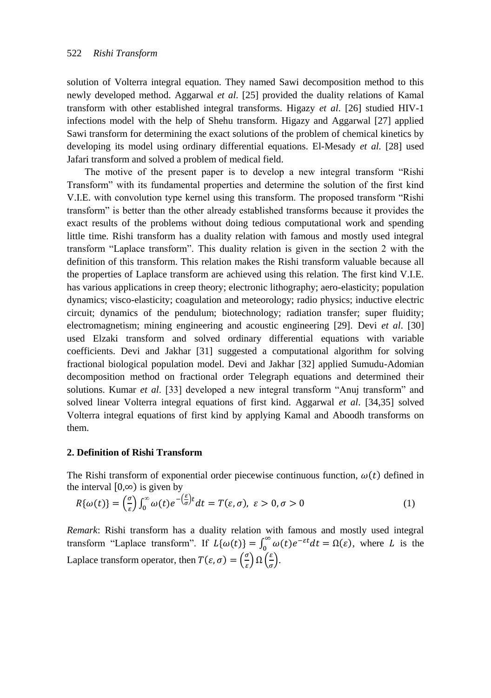solution of Volterra integral equation. They named Sawi decomposition method to this newly developed method. Aggarwal *et al*. [25] provided the duality relations of Kamal transform with other established integral transforms. Higazy *et al*. [26] studied HIV-1 infections model with the help of Shehu transform. Higazy and Aggarwal [27] applied Sawi transform for determining the exact solutions of the problem of chemical kinetics by developing its model using ordinary differential equations. El-Mesady *et al.* [28] used Jafari transform and solved a problem of medical field.

The motive of the present paper is to develop a new integral transform "Rishi Transform" with its fundamental properties and determine the solution of the first kind V.I.E. with convolution type kernel using this transform. The proposed transform "Rishi transform" is better than the other already established transforms because it provides the exact results of the problems without doing tedious computational work and spending little time. Rishi transform has a duality relation with famous and mostly used integral transform "Laplace transform". This duality relation is given in the section 2 with the definition of this transform. This relation makes the Rishi transform valuable because all the properties of Laplace transform are achieved using this relation. The first kind V.I.E. has various applications in creep theory; electronic lithography; aero-elasticity; population dynamics; visco-elasticity; coagulation and meteorology; radio physics; inductive electric circuit; dynamics of the pendulum; biotechnology; radiation transfer; super fluidity; electromagnetism; mining engineering and acoustic engineering [29]. Devi *et al*. [30] used Elzaki transform and solved ordinary differential equations with variable coefficients. Devi and Jakhar [31] suggested a computational algorithm for solving fractional biological population model. Devi and Jakhar [32] applied Sumudu-Adomian decomposition method on fractional order Telegraph equations and determined their solutions. Kumar *et al*. [33] developed a new integral transform "Anuj transform" and solved linear Volterra integral equations of first kind. Aggarwal *et al*. [34,35] solved Volterra integral equations of first kind by applying Kamal and Aboodh transforms on them.

# **2. Definition of Rishi Transform**

The Rishi transform of exponential order piecewise continuous function,  $\omega(t)$  defined in the interval  $[0, \infty)$  is given by

$$
R\{\omega(t)\} = \left(\frac{\sigma}{\varepsilon}\right) \int_0^\infty \omega(t) e^{-\left(\frac{\varepsilon}{\sigma}\right)t} dt = T(\varepsilon, \sigma), \ \varepsilon > 0, \sigma > 0 \tag{1}
$$

*Remark*: Rishi transform has a duality relation with famous and mostly used integral transform "Laplace transform". If  $L{\omega(t)} = \int_0^\infty \omega(t) e^{-\varepsilon t} dt = \Omega(\varepsilon)$ , where L is the Laplace transform operator, then  $T(\varepsilon, \sigma) = \left( \frac{\sigma}{\varepsilon} \right)$  $\left(\frac{\sigma}{\varepsilon}\right) \Omega\left(\frac{\varepsilon}{\sigma}\right)$  $\frac{\epsilon}{\sigma}$ ).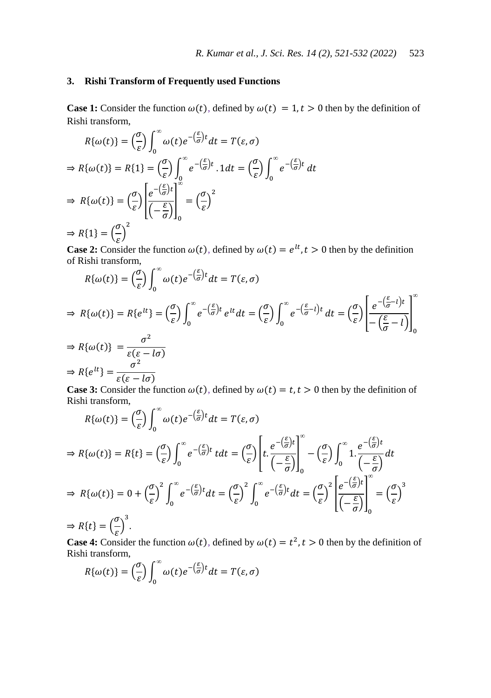## **3. Rishi Transform of Frequently used Functions**

**Case 1:** Consider the function  $\omega(t)$ , defined by  $\omega(t) = 1, t > 0$  then by the definition of Rishi transform,

$$
R\{\omega(t)\} = \left(\frac{\sigma}{\varepsilon}\right) \int_0^\infty \omega(t) e^{-\left(\frac{\varepsilon}{\sigma}\right)t} dt = T(\varepsilon, \sigma)
$$
  
\n
$$
\Rightarrow R\{\omega(t)\} = R\{1\} = \left(\frac{\sigma}{\varepsilon}\right) \int_0^\infty e^{-\left(\frac{\varepsilon}{\sigma}\right)t} . 1 dt = \left(\frac{\sigma}{\varepsilon}\right) \int_0^\infty e^{-\left(\frac{\varepsilon}{\sigma}\right)t} dt
$$
  
\n
$$
\Rightarrow R\{\omega(t)\} = \left(\frac{\sigma}{\varepsilon}\right) \left[\frac{e^{-\left(\frac{\varepsilon}{\sigma}\right)t}}{\left(-\frac{\varepsilon}{\sigma}\right)}\right]_0^\infty = \left(\frac{\sigma}{\varepsilon}\right)^2
$$
  
\n
$$
\Rightarrow R\{1\} = \left(\frac{\sigma}{\varepsilon}\right)^2
$$

**Case 2:** Consider the function  $\omega(t)$ , defined by  $\omega(t) = e^{lt}$ ,  $t > 0$  then by the definition of Rishi transform,

$$
R\{\omega(t)\} = \left(\frac{\sigma}{\varepsilon}\right) \int_0^\infty \omega(t) e^{-\left(\frac{\varepsilon}{\sigma}\right)t} dt = T(\varepsilon, \sigma)
$$
  
\n
$$
\Rightarrow R\{\omega(t)\} = R\{e^{lt}\} = \left(\frac{\sigma}{\varepsilon}\right) \int_0^\infty e^{-\left(\frac{\varepsilon}{\sigma}\right)t} e^{lt} dt = \left(\frac{\sigma}{\varepsilon}\right) \int_0^\infty e^{-\left(\frac{\varepsilon}{\sigma}-t\right)t} dt = \left(\frac{\sigma}{\varepsilon}\right) \left[\frac{e^{-\left(\frac{\varepsilon}{\sigma}-t\right)t}}{-\left(\frac{\varepsilon}{\sigma}-t\right)}\right]_0^\infty
$$
  
\n
$$
\Rightarrow R\{\omega(t)\} = \frac{\sigma^2}{\varepsilon(\varepsilon - l\sigma)}
$$
  
\n
$$
\Rightarrow R\{e^{lt}\} = \frac{\sigma^2}{\varepsilon(\varepsilon - l\sigma)}
$$

**Case 3:** Consider the function  $\omega(t)$ , defined by  $\omega(t) = t, t > 0$  then by the definition of Rishi transform,

$$
R\{\omega(t)\} = \left(\frac{\sigma}{\varepsilon}\right) \int_0^\infty \omega(t) e^{-\left(\frac{\varepsilon}{\sigma}\right)t} dt = T(\varepsilon, \sigma)
$$
  
\n
$$
\Rightarrow R\{\omega(t)\} = R\{t\} = \left(\frac{\sigma}{\varepsilon}\right) \int_0^\infty e^{-\left(\frac{\varepsilon}{\sigma}\right)t} dt = \left(\frac{\sigma}{\varepsilon}\right) \left[ t \cdot \frac{e^{-\left(\frac{\varepsilon}{\sigma}\right)t}}{\left(-\frac{\varepsilon}{\sigma}\right)} \right]_0^\infty - \left(\frac{\sigma}{\varepsilon}\right) \int_0^\infty 1 \cdot \frac{e^{-\left(\frac{\varepsilon}{\sigma}\right)t}}{\left(-\frac{\varepsilon}{\sigma}\right)} dt
$$
  
\n
$$
\Rightarrow R\{\omega(t)\} = 0 + \left(\frac{\sigma}{\varepsilon}\right)^2 \int_0^\infty e^{-\left(\frac{\varepsilon}{\sigma}\right)t} dt = \left(\frac{\sigma}{\varepsilon}\right)^2 \int_0^\infty e^{-\left(\frac{\varepsilon}{\sigma}\right)t} dt = \left(\frac{\sigma}{\varepsilon}\right)^2 \left[ \frac{e^{-\left(\frac{\varepsilon}{\sigma}\right)t}}{\left(-\frac{\varepsilon}{\sigma}\right)} \right]_0^\infty = \left(\frac{\sigma}{\varepsilon}\right)^3
$$
  
\n
$$
\Rightarrow R\{t\} = \left(\frac{\sigma}{\varepsilon}\right)^3.
$$

**Case 4:** Consider the function  $\omega(t)$ , defined by  $\omega(t) = t^2$ ,  $t > 0$  then by the definition of Rishi transform,

$$
R\{\omega(t)\} = \left(\frac{\sigma}{\varepsilon}\right) \int_0^\infty \omega(t) e^{-\left(\frac{\varepsilon}{\sigma}\right)t} dt = T(\varepsilon, \sigma)
$$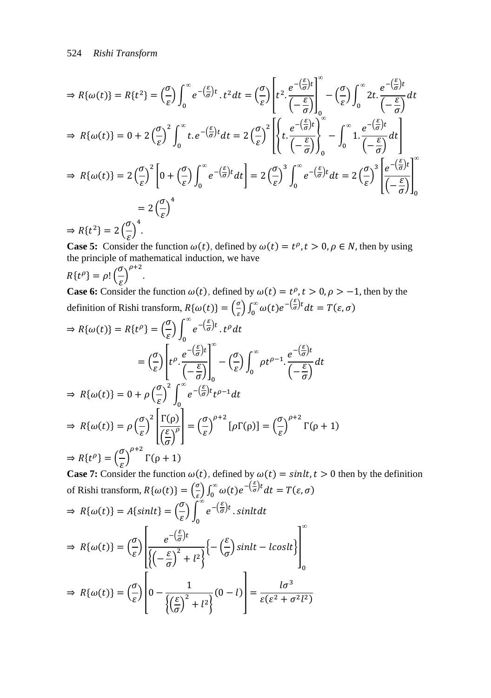$$
\Rightarrow R\{\omega(t)\} = R\{t^2\} = \left(\frac{\sigma}{\varepsilon}\right) \int_0^\infty e^{-\left(\frac{\varepsilon}{\sigma}\right)t} \cdot t^2 dt = \left(\frac{\sigma}{\varepsilon}\right) \left[ t^2 \cdot \frac{e^{-\left(\frac{\varepsilon}{\sigma}\right)t}}{\left(-\frac{\varepsilon}{\sigma}\right)} \right]_0^\infty - \left(\frac{\sigma}{\varepsilon}\right) \int_0^\infty 2t \cdot \frac{e^{-\left(\frac{\varepsilon}{\sigma}\right)t}}{\left(-\frac{\varepsilon}{\sigma}\right)} dt
$$
  
\n
$$
\Rightarrow R\{\omega(t)\} = 0 + 2\left(\frac{\sigma}{\varepsilon}\right)^2 \int_0^\infty t \cdot e^{-\left(\frac{\varepsilon}{\sigma}\right)t} dt = 2\left(\frac{\sigma}{\varepsilon}\right)^2 \left[ \left\{ t \cdot \frac{e^{-\left(\frac{\varepsilon}{\sigma}\right)t}}{\left(-\frac{\varepsilon}{\sigma}\right)} \right\}_0^\infty - \int_0^\infty 1 \cdot \frac{e^{-\left(\frac{\varepsilon}{\sigma}\right)t}}{\left(-\frac{\varepsilon}{\sigma}\right)} dt \right]
$$
  
\n
$$
\Rightarrow R\{\omega(t)\} = 2\left(\frac{\sigma}{\varepsilon}\right)^2 \left[ 0 + \left(\frac{\sigma}{\varepsilon}\right) \int_0^\infty e^{-\left(\frac{\varepsilon}{\sigma}\right)t} dt \right] = 2\left(\frac{\sigma}{\varepsilon}\right)^3 \int_0^\infty e^{-\left(\frac{\varepsilon}{\sigma}\right)t} dt = 2\left(\frac{\sigma}{\varepsilon}\right)^3 \left[ \frac{e^{-\left(\frac{\varepsilon}{\sigma}\right)t}}{\left(-\frac{\varepsilon}{\sigma}\right)} \right]_0^\infty
$$
  
\n
$$
= 2\left(\frac{\sigma}{\varepsilon}\right)^4
$$
  
\n
$$
\Rightarrow R\{t^2\} = 2\left(\frac{\sigma}{\varepsilon}\right)^4.
$$

 $\Rightarrow R\{t^2\} = 2\left(\frac{c}{\varepsilon}\right).$ 

**Case 5:** Consider the function  $\omega(t)$ , defined by  $\omega(t) = t^{\rho}, t > 0, \rho \in N$ , then by using the principle of mathematical induction, we have

$$
R\{t^{\rho}\} = \rho! \left(\frac{\sigma}{\varepsilon}\right)^{\rho+}
$$

.

**Case 6:** Consider the function  $\omega(t)$ , defined by  $\omega(t) = t^{\rho}, t > 0, \rho > -1$ , then by the definition of Rishi transform,  $R\{\omega(t)\} = \left(\frac{\sigma}{\sigma}\right)$  $\int_{\varepsilon}^{\sigma} \int_{0}^{\infty} \omega(t) e^{-\left(\frac{\varepsilon}{\sigma}\right)t} dt = T(\varepsilon, \sigma)$ 

$$
\Rightarrow R\{\omega(t)\} = R\{t^{\rho}\} = \left(\frac{\sigma}{\varepsilon}\right) \int_0^{\infty} e^{-\left(\frac{\varepsilon}{\sigma}\right)t} \cdot t^{\rho} dt
$$

$$
= \left(\frac{\sigma}{\varepsilon}\right) \left[ t^{\rho} \cdot \frac{e^{-\left(\frac{\varepsilon}{\sigma}\right)t}}{\left(-\frac{\varepsilon}{\sigma}\right)} \right]_0^{\infty} - \left(\frac{\sigma}{\varepsilon}\right) \int_0^{\infty} \rho t^{\rho-1} \cdot \frac{e^{-\left(\frac{\varepsilon}{\sigma}\right)t}}{\left(-\frac{\varepsilon}{\sigma}\right)} dt
$$

$$
\Rightarrow R\{\omega(t)\} = 0 + \rho \left(\frac{\sigma}{\varepsilon}\right)^2 \int_0^{\infty} e^{-\left(\frac{\varepsilon}{\sigma}\right)t} t^{\rho-1} dt
$$

$$
\Rightarrow R\{\omega(t)\} = \rho \left(\frac{\sigma}{\varepsilon}\right)^2 \left[ \frac{\Gamma(\rho)}{\left(\frac{\varepsilon}{\sigma}\right)^{\rho}} \right] = \left(\frac{\sigma}{\varepsilon}\right)^{\rho+2} [\rho\Gamma(\rho)] = \left(\frac{\sigma}{\varepsilon}\right)^{\rho+2} \Gamma(\rho+1)
$$

$$
\Rightarrow R\{t^{\rho}\} = \left(\frac{\sigma}{\varepsilon}\right)^{\rho+2} \Gamma(\rho+1)
$$

**Case 7:** Consider the function  $\omega(t)$ , defined by  $\omega(t) = \text{sin} \lambda t$ ,  $t > 0$  then by the definition of Rishi transform,  $R\{\omega(t)\} = \left(\frac{\sigma}{\sigma}\right)$  $\int_{\varepsilon}^{\sigma} \int_{0}^{\infty} \omega(t) e^{-\left(\frac{\varepsilon}{\sigma}\right)t} dt = T(\varepsilon, \sigma)$ 

$$
\Rightarrow R\{\omega(t)\} = A\{\sinh t\} = \left(\frac{\sigma}{\varepsilon}\right) \int_0^\infty e^{-\left(\frac{\varepsilon}{\sigma}\right)t} \cdot \sinh t dt
$$

$$
\Rightarrow R\{\omega(t)\} = \left(\frac{\sigma}{\varepsilon}\right) \left[ \frac{e^{-\left(\frac{\varepsilon}{\sigma}\right)t}}{\left\{ \left(-\frac{\varepsilon}{\sigma}\right)^2 + l^2 \right\}} \left\{ -\left(\frac{\varepsilon}{\sigma}\right) \sinh t - \cosh t \right\} \right]_0^\infty
$$

$$
\Rightarrow R\{\omega(t)\} = \left(\frac{\sigma}{\varepsilon}\right) \left[ 0 - \frac{1}{\left\{ \left(\frac{\varepsilon}{\sigma}\right)^2 + l^2 \right\}} (0 - l) \right] = \frac{l\sigma^3}{\varepsilon(\varepsilon^2 + \sigma^2 l^2)}
$$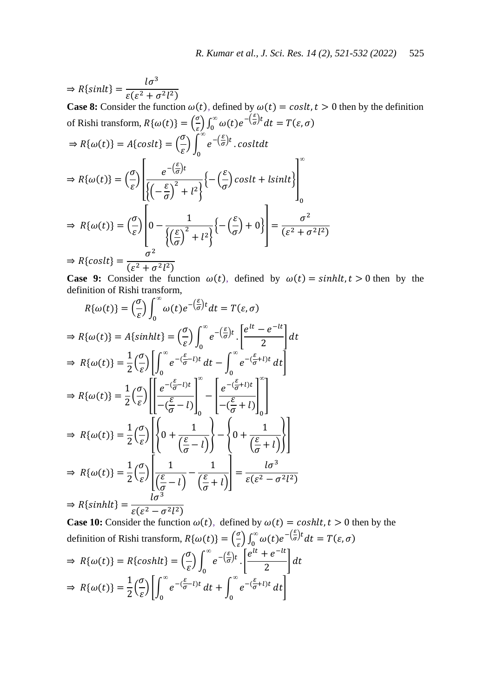$$
\Rightarrow R\{\sinh t\} = \frac{l\sigma^3}{\varepsilon(\varepsilon^2 + \sigma^2 l^2)}
$$
\n**Case 8:** Consider the function  $\omega(t)$ , defined by  $\omega(t) = \cosh t$  > 0 then by the definition  
\nof Rishi transform,  $R\{\omega(t)\} = \left(\frac{\sigma}{\varepsilon}\right) \int_0^\infty \omega(t) e^{-\left(\frac{\varepsilon}{\sigma}\right)t} dt = T(\varepsilon, \sigma)$   
\n
$$
\Rightarrow R\{\omega(t)\} = A\{\cosh t\} = \left(\frac{\sigma}{\varepsilon}\right) \int_0^\infty e^{-\left(\frac{\varepsilon}{\sigma}\right)t} \cdot \cosh t dt
$$
\n
$$
\Rightarrow R\{\omega(t)\} = \left(\frac{\sigma}{\varepsilon}\right) \left[\frac{e^{-\left(\frac{\varepsilon}{\sigma}\right)t}}{\left\{\left(-\frac{\varepsilon}{\sigma}\right)^2 + l^2\right\}} \left\{-\left(\frac{\varepsilon}{\sigma}\right)\cosh t + \sinh t\right\}\right]_0^\infty
$$
\n
$$
\Rightarrow R\{\omega(t)\} = \left(\frac{\sigma}{\varepsilon}\right) \left[0 - \frac{1}{\left\{\left(\frac{\varepsilon}{\sigma}\right)^2 + l^2\right\}} \left\{-\left(\frac{\varepsilon}{\sigma}\right) + 0\right\}\right] = \frac{\sigma^2}{(\varepsilon^2 + \sigma^2 l^2)}
$$
\n
$$
\Rightarrow R\{\cosh t\} = \frac{\sigma^2}{(\varepsilon^2 + \sigma^2 l^2)}
$$

**Case 9:** Consider the function  $\omega(t)$ , defined by  $\omega(t) = \sinh(t), t > 0$  then by the definition of Rishi transform,

$$
R\{\omega(t)\} = \left(\frac{\sigma}{\varepsilon}\right) \int_0^\infty \omega(t) e^{-\left(\frac{\varepsilon}{\sigma}\right)t} dt = T(\varepsilon, \sigma)
$$
  
\n
$$
\Rightarrow R\{\omega(t)\} = A\{\sinh(t\} = \left(\frac{\sigma}{\varepsilon}\right) \int_0^\infty e^{-\left(\frac{\varepsilon}{\sigma}\right)t} \cdot \left[\frac{e^{lt} - e^{-lt}}{2}\right] dt
$$
  
\n
$$
\Rightarrow R\{\omega(t)\} = \frac{1}{2} \left(\frac{\sigma}{\varepsilon}\right) \left[\int_0^\infty e^{-\left(\frac{\varepsilon}{\sigma} - l\right)t} dt - \int_0^\infty e^{-\left(\frac{\varepsilon}{\sigma} + l\right)t} dt\right]
$$
  
\n
$$
\Rightarrow R\{\omega(t)\} = \frac{1}{2} \left(\frac{\sigma}{\varepsilon}\right) \left[\frac{e^{-\left(\frac{\varepsilon}{\sigma} - l\right)t}}{-\left(\frac{\varepsilon}{\sigma} - l\right)}\right]_0^\infty - \left[\frac{e^{-\left(\frac{\varepsilon}{\sigma} + l\right)t}}{-\left(\frac{\varepsilon}{\sigma} + l\right)}\right]_0^\infty
$$
  
\n
$$
\Rightarrow R\{\omega(t)\} = \frac{1}{2} \left(\frac{\sigma}{\varepsilon}\right) \left[\left(0 + \frac{1}{\left(\frac{\varepsilon}{\sigma} - l\right)}\right) - \left(0 + \frac{1}{\left(\frac{\varepsilon}{\sigma} + l\right)}\right)\right]
$$
  
\n
$$
\Rightarrow R\{\omega(t)\} = \frac{1}{2} \left(\frac{\sigma}{\varepsilon}\right) \left[\frac{1}{\left(\frac{\varepsilon}{\sigma} - l\right)} - \frac{1}{\left(\frac{\varepsilon}{\sigma} + l\right)}\right] = \frac{l\sigma^3}{\varepsilon(\varepsilon^2 - \sigma^2 l^2)}
$$
  
\n
$$
\Rightarrow R\{\sinh(t\)} = \frac{l\sigma^3}{\varepsilon(\varepsilon^2 - \sigma^2 l^2)}
$$

**Case 10:** Consider the function  $\omega(t)$ , defined by  $\omega(t) = \cosh(t), t > 0$  then by the definition of Rishi transform,  $R\{\omega(t)\} = \left(\frac{\sigma}{\sigma}\right)$  $\int_{\varepsilon}^{\sigma} \int_{0}^{\infty} \omega(t) e^{-\left(\frac{\varepsilon}{\sigma}\right)t} dt = T(\varepsilon, \sigma)$  $\Rightarrow R\{\omega(t)\}=R\{coshlt\}=\left(\frac{\sigma}{\sigma}\right)$  $\left(\frac{\sigma}{\varepsilon}\right)\int_0^\infty e^{-\left(\frac{\varepsilon}{\sigma}\right)t}$  $\bf{0}$  $\left[e^{lt}+e^{-}\right]$  $\frac{1}{2}$   $\Big|$  d  $\Rightarrow R\{\omega(t)\}=\frac{1}{2}$  $\frac{1}{2}(\frac{\sigma}{\varepsilon})$  $\left(\frac{\sigma}{\varepsilon}\right)\left[\int_0^\infty e^{-(\frac{\varepsilon}{\sigma}-l)t}\right]$  $\bf{0}$  $dt + \int_{0}^{\infty} e^{-(\frac{\varepsilon}{\sigma}+l)t}$  $\bf{0}$  $dt$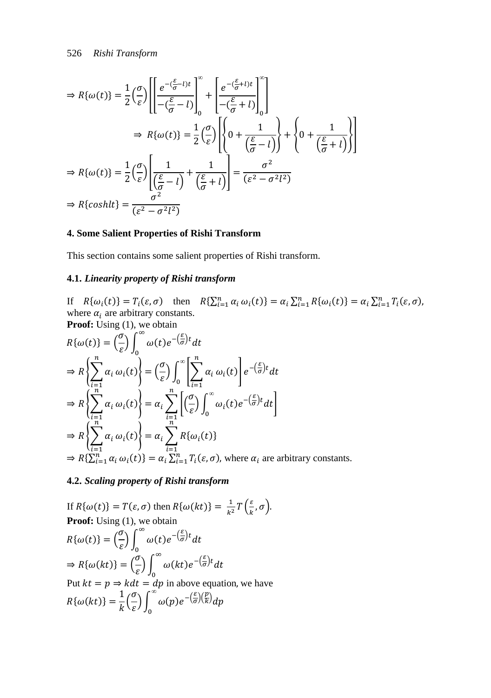$$
\Rightarrow R\{\omega(t)\} = \frac{1}{2} \left(\frac{\sigma}{\varepsilon}\right) \left[ \frac{e^{-(\frac{\varepsilon}{\sigma}-l)t}}{-(\frac{\varepsilon}{\sigma}-l)} \right]_0^{\infty} + \left[ \frac{e^{-(\frac{\varepsilon}{\sigma}+l)t}}{-(\frac{\varepsilon}{\sigma}+l)} \right]_0^{\infty} \right]
$$

$$
\Rightarrow R\{\omega(t)\} = \frac{1}{2} \left(\frac{\sigma}{\varepsilon}\right) \left[ \left\{ 0 + \frac{1}{(\frac{\varepsilon}{\sigma}-l)} \right\} + \left\{ 0 + \frac{1}{(\frac{\varepsilon}{\sigma}+l)} \right\} \right]
$$

$$
\Rightarrow R\{\omega(t)\} = \frac{1}{2} \left(\frac{\sigma}{\varepsilon}\right) \left[ \frac{1}{(\frac{\varepsilon}{\sigma}-l)} + \frac{1}{(\frac{\varepsilon}{\sigma}+l)} \right] = \frac{\sigma^2}{(\varepsilon^2 - \sigma^2 l^2)}
$$

$$
\Rightarrow R\{\cosh l t\} = \frac{\sigma^2}{(\varepsilon^2 - \sigma^2 l^2)}
$$

# **4. Some Salient Properties of Rishi Transform**

This section contains some salient properties of Rishi transform.

# **4.1.** *Linearity property of Rishi transform*

If  $R\{\omega_i(t)\}=T_i(\varepsilon,\sigma)$  then  $R\{\sum_{i=1}^n\alpha_i\,\omega_i(t)\}=\alpha_i\sum_{i=1}^nR\{\omega_i(t)\}=\alpha_i\sum_{i=1}^nT_i(\varepsilon,\sigma)$ , where  $\alpha_i$  are arbitrary constants. **Proof:** Using (1), we obtain

$$
R\{\omega(t)\} = \left(\frac{\sigma}{\varepsilon}\right) \int_0^\infty \omega(t) e^{-\left(\frac{\varepsilon}{\sigma}\right)t} dt
$$
  
\n
$$
\Rightarrow R\left\{\sum_{i=1}^n \alpha_i \omega_i(t)\right\} = \left(\frac{\sigma}{\varepsilon}\right) \int_0^\infty \left[\sum_{i=1}^n \alpha_i \omega_i(t)\right] e^{-\left(\frac{\varepsilon}{\sigma}\right)t} dt
$$
  
\n
$$
\Rightarrow R\left\{\sum_{i=1}^n \alpha_i \omega_i(t)\right\} = \alpha_i \sum_{i=1}^n \left[\left(\frac{\sigma}{\varepsilon}\right) \int_0^\infty \omega_i(t) e^{-\left(\frac{\varepsilon}{\sigma}\right)t} dt\right]
$$
  
\n
$$
\Rightarrow R\left\{\sum_{i=1}^n \alpha_i \omega_i(t)\right\} = \alpha_i \sum_{i=1}^n R\{\omega_i(t)\}
$$
  
\n
$$
\Rightarrow R\left\{\sum_{i=1}^n \alpha_i \omega_i(t)\right\} = \alpha_i \sum_{i=1}^n T_i(\varepsilon, \sigma), \text{ where } \alpha_i \text{ are arbitrary constants.}
$$

 $\overline{a}$ 

 $\ddot{\phantom{1}}$ 

# **4.2.** *Scaling property of Rishi transform*

If 
$$
R\{\omega(t)\}=T(\varepsilon,\sigma)
$$
 then  $R\{\omega(kt)\}=\frac{1}{k^2}T(\frac{\varepsilon}{k},\sigma)$ .  
\n**Proof:** Using (1), we obtain  
\n
$$
R\{\omega(t)\} = (\frac{\sigma}{\varepsilon}) \int_0^\infty \omega(t) e^{-(\frac{\varepsilon}{\sigma})t} dt
$$
\n
$$
\Rightarrow R\{\omega(kt)\} = (\frac{\sigma}{\varepsilon}) \int_0^\infty \omega(kt) e^{-(\frac{\varepsilon}{\sigma})t} dt
$$
\nPut  $kt = p \Rightarrow k dt = dp$  in above equation, we have  
\n
$$
R\{\omega(kt)\} = \frac{1}{k}(\frac{\sigma}{\varepsilon}) \int_0^\infty \omega(p) e^{-(\frac{\varepsilon}{\sigma})(\frac{p}{k})} dp
$$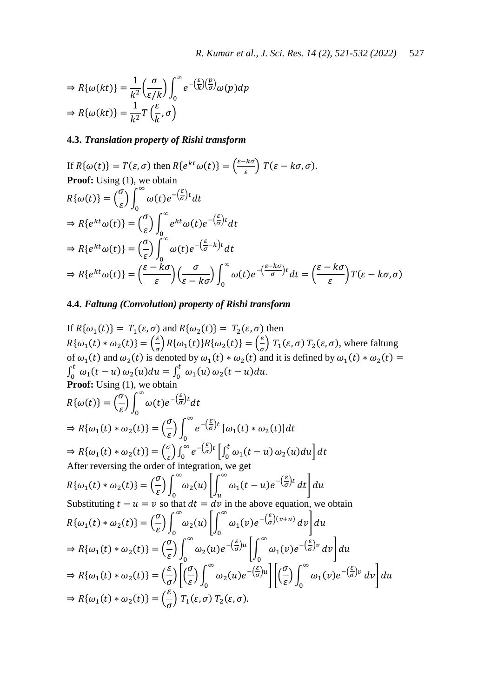$$
\Rightarrow R\{\omega(kt)\} = \frac{1}{k^2} \left(\frac{\sigma}{\varepsilon/k}\right) \int_0^\infty e^{-\left(\frac{\varepsilon}{k}\right)\left(\frac{p}{\sigma}\right)} \omega(p) dp
$$
  
\n
$$
\Rightarrow R\{\omega(kt)\} = \frac{1}{k^2} T\left(\frac{\varepsilon}{k}, \sigma\right)
$$

# **4.3.** *Translation property of Rishi transform*

If 
$$
R\{\omega(t)\}=T(\varepsilon,\sigma)
$$
 then  $R\{e^{kt}\omega(t)\} = \left(\frac{\varepsilon - k\sigma}{\varepsilon}\right)T(\varepsilon - k\sigma,\sigma)$ .  
\n**Proof:** Using (1), we obtain  
\n
$$
R\{\omega(t)\} = \left(\frac{\sigma}{\varepsilon}\right) \int_0^\infty \omega(t)e^{-\left(\frac{\varepsilon}{\sigma}\right)t}dt
$$
\n
$$
\Rightarrow R\{e^{kt}\omega(t)\} = \left(\frac{\sigma}{\varepsilon}\right) \int_0^\infty e^{kt}\omega(t)e^{-\left(\frac{\varepsilon}{\sigma}\right)t}dt
$$
\n
$$
\Rightarrow R\{e^{kt}\omega(t)\} = \left(\frac{\sigma}{\varepsilon}\right) \int_0^\infty \omega(t)e^{-\left(\frac{\varepsilon}{\sigma} - k\right)t}dt
$$
\n
$$
\Rightarrow R\{e^{kt}\omega(t)\} = \left(\frac{\varepsilon - k\sigma}{\varepsilon}\right) \left(\frac{\sigma}{\varepsilon - k\sigma}\right) \int_0^\infty \omega(t)e^{-\left(\frac{\varepsilon - k\sigma}{\sigma}\right)t}dt = \left(\frac{\varepsilon - k\sigma}{\varepsilon}\right)T(\varepsilon - k\sigma,\sigma)
$$

# **4.4.** *Faltung (Convolution) property of Rishi transform*

If 
$$
R\{\omega_1(t)\}=T_1(\varepsilon,\sigma)
$$
 and  $R\{\omega_2(t)\}=T_2(\varepsilon,\sigma)$  then  
\n
$$
R\{\omega_1(t)*\omega_2(t)\} = \left(\frac{\varepsilon}{\sigma}\right)R\{\omega_1(t)\}R\{\omega_2(t)\} = \left(\frac{\varepsilon}{\sigma}\right)T_1(\varepsilon,\sigma) T_2(\varepsilon,\sigma), \text{ where falling of } \omega_1(t) \text{ and } \omega_2(t) \text{ is denoted by } \omega_1(t)*\omega_2(t) \text{ and it is defined by } \omega_1(t)*\omega_2(t) = \int_0^t \omega_1(t-u)\omega_2(u)du = \int_0^t \omega_1(u)\omega_2(t-u)du.
$$
\nProof: Using (1), we obtain  
\n
$$
R\{\omega(t)\} = \left(\frac{\sigma}{\varepsilon}\right) \int_0^\infty \omega(t)e^{-\left(\frac{\varepsilon}{\sigma}\right)t}dt
$$
\n
$$
\Rightarrow R\{\omega_1(t)*\omega_2(t)\} = \left(\frac{\sigma}{\varepsilon}\right) \int_0^\infty e^{-\left(\frac{\varepsilon}{\sigma}\right)t} [\omega_1(t)*\omega_2(t)]dt
$$
\nAfter reversing the order of integration, we get  
\n
$$
R\{\omega_1(t)*\omega_2(t)\} = \left(\frac{\sigma}{\varepsilon}\right) \int_0^\infty \omega_2(u) \left[\int_0^u \omega_1(t-u)e^{-\left(\frac{\varepsilon}{\sigma}\right)t}dt\right]du
$$
\nSubstituting  $t-u=v$  so that  $dt = dv$  in the above equation, we obtain  
\n
$$
R\{\omega_1(t)*\omega_2(t)\} = \left(\frac{\sigma}{\varepsilon}\right) \int_0^\infty \omega_2(u) \left[\int_0^\infty \omega_1(t-u)e^{-\left(\frac{\varepsilon}{\sigma}\right)t}dt\right]du
$$
\n
$$
\Rightarrow R\{\omega_1(t)*\omega_2(t)\} = \left(\frac{\sigma}{\varepsilon}\right) \int_0^\infty \omega_2(u)e^{-\left(\frac{\varepsilon}{\sigma}\right)(v+u)}dv\right]du
$$
\n
$$
\Rightarrow R\{\omega_1(t)*\omega_2(t)\} = \left(\frac{\sigma}{\varepsilon}\right) \int_0^\infty \omega_2(u)e^{-\left(\frac{\varepsilon}{\sigma}\right)
$$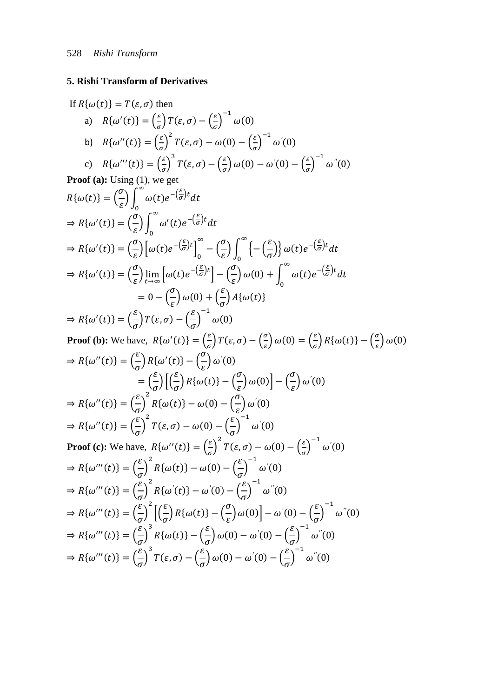# 5. Rishi Transform of Derivatives

If 
$$
R(\omega(t)) = T(\varepsilon, \sigma)
$$
 then  
\na)  $R\{\omega'(t)\} = \left(\frac{\varepsilon}{\sigma}\right)^2 T(\varepsilon, \sigma) - \left(\frac{\varepsilon}{\sigma}\right)^{-1} \omega(0)$   
\nb)  $R\{\omega''(t)\} = \left(\frac{\varepsilon}{\sigma}\right)^2 T(\varepsilon, \sigma) - \omega(0) - \left(\frac{\varepsilon}{\sigma}\right)^{-1} \omega'(0)$   
\nc)  $R\{\omega'''(t)\} = \left(\frac{\varepsilon}{\sigma}\right)^3 T(\varepsilon, \sigma) - \omega(0) - \omega'(0) - \left(\frac{\varepsilon}{\sigma}\right)^{-1} \omega''(0)$   
\n**Proof (a):** Using (1), we get  
\n $R\{\omega(t)\} = \left(\frac{\sigma}{\varepsilon}\right)\int_0^\infty \omega'(t)e^{-\left(\frac{\sigma}{\sigma}\right)t}dt$   
\n $\Rightarrow R\{\omega'(t)\} = \left(\frac{\sigma}{\varepsilon}\right)\int_0^\infty \omega'(t)e^{-\left(\frac{\sigma}{\sigma}\right)t}dt$   
\n $\Rightarrow R\{\omega'(t)\} = \left(\frac{\sigma}{\varepsilon}\right)\left[\omega(t)e^{-\left(\frac{\sigma}{\sigma}\right)t}\right]_0^\infty - \left(\frac{\sigma}{\varepsilon}\right)\int_0^\infty \left\{-\left(\frac{\varepsilon}{\sigma}\right)\right\} \omega(t)e^{-\left(\frac{\sigma}{\sigma}\right)t}dt$   
\n $\Rightarrow R\{\omega'(t)\} = \left(\frac{\sigma}{\varepsilon}\right)\lim_{t \to \infty} \left[\omega(t)e^{-\left(\frac{\sigma}{\sigma}\right)t}\right] - \left(\frac{\sigma}{\varepsilon}\right)\omega(0) + \int_0^\infty \omega(t)e^{-\left(\frac{\sigma}{\sigma}\right)t}dt$   
\n $= 0 - \left(\frac{\sigma}{\varepsilon}\right)\omega(0) + \left(\frac{\varepsilon}{\sigma}\right)\omega(0) + \int_0^\infty \omega(t)e^{-\left(\frac{\sigma}{\sigma}\right)t}dt$   
\n $\Rightarrow R\{\omega'(t)\} = \left(\frac{\varepsilon}{\sigma}\right) T(\varepsilon, \sigma) - \left(\frac{\varepsilon}{\sigma}\right) \omega(0)$   
\n**Proof (b):** We have,  $R\{\omega'(t)\} = \left(\frac{\$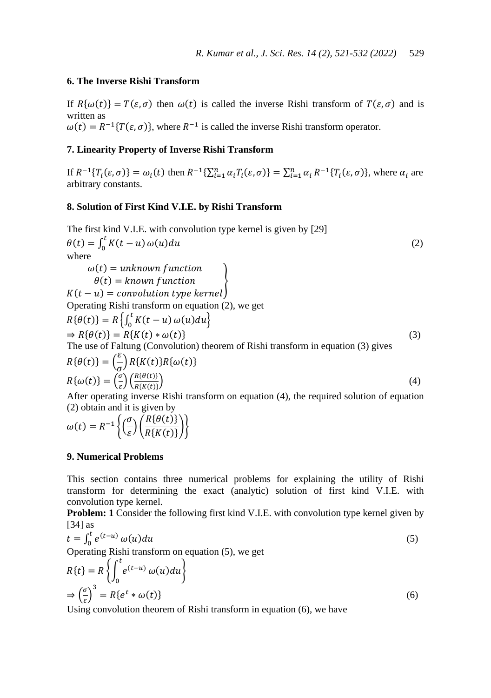# **6. The Inverse Rishi Transform**

If  $R\{\omega(t)\}=T(\varepsilon,\sigma)$  then  $\omega(t)$  is called the inverse Rishi transform of  $T(\varepsilon,\sigma)$  and is written as  $\omega(t) = R^{-1}{T(\varepsilon, \sigma)}$ , where  $R^{-1}$  is called the inverse Rishi transform operator.

### **7. Linearity Property of Inverse Rishi Transform**

If  $R^{-1}\{T_i(\varepsilon,\sigma)\} = \omega_i(t)$  then  $R^{-1}\{\sum_{i=1}^n \alpha_i T_i(\varepsilon,\sigma)\} = \sum_{i=1}^n \alpha_i R^{-1}\{T_i(\varepsilon,\sigma)\}\,$ , where  $\alpha_i$  are arbitrary constants.

### **8. Solution of First Kind V.I.E. by Rishi Transform**

The first kind V.I.E. with convolution type kernel is given by [29]  
\n
$$
\theta(t) = \int_0^t K(t - u) \omega(u) du
$$
\nwhere  
\n
$$
\omega(t) = unknown function
$$
\n
$$
\theta(t) = known function
$$
\n
$$
K(t - u) = convolution type kernel
$$
\nOperating Rishi transform on equation (2), we get  
\n
$$
R\{\theta(t)\} = R\left\{\int_0^t K(t - u) \omega(u) du\right\}
$$
\n
$$
\Rightarrow R\{\theta(t)\} = R\{K(t) * \omega(t)\}
$$
\nThe use of Faltung (Convolution) theorem of Rishi transform in equation (3) gives  
\n
$$
R\{\theta(t)\} = \left(\frac{\varepsilon}{\sigma}\right) R\{K(t)\} R\{\omega(t)\}
$$
\n
$$
R\{\omega(t)\} = \left(\frac{\sigma}{\varepsilon}\right) \left(\frac{R\{\theta(t)\}}{R\{\kappa(t)\}}\right)
$$
\n(4)  
\nAfter operating inverse Rishi transform on equation (4), the required solution of equation

quation (4), the requ (2) obtain and it is given by

$$
\omega(t) = R^{-1} \left\{ \left( \frac{\sigma}{\varepsilon} \right) \left( \frac{R\{\theta(t)\}}{R\{K(t)\}} \right) \right\}
$$

# **9. Numerical Problems**

This section contains three numerical problems for explaining the utility of Rishi transform for determining the exact (analytic) solution of first kind V.I.E. with convolution type kernel.

**Problem: 1** Consider the following first kind V.I.E. with convolution type kernel given by [34] as

$$
t = \int_0^t e^{(t-u)} \omega(u) du
$$
  
Operating Rishi transform on equation (5), we get  

$$
R\{t\} = R \left\{ \int_0^t e^{(t-u)} \omega(u) du \right\}
$$
 (5)

$$
R\{t\} = R\left\{\int_0^t e^{(t-u)} \omega(u) du\right\}
$$
  
\n
$$
\Rightarrow \left(\frac{\sigma}{\varepsilon}\right)^3 = R\{e^t * \omega(t)\}\tag{6}
$$

Using convolution theorem of Rishi transform in equation (6), we have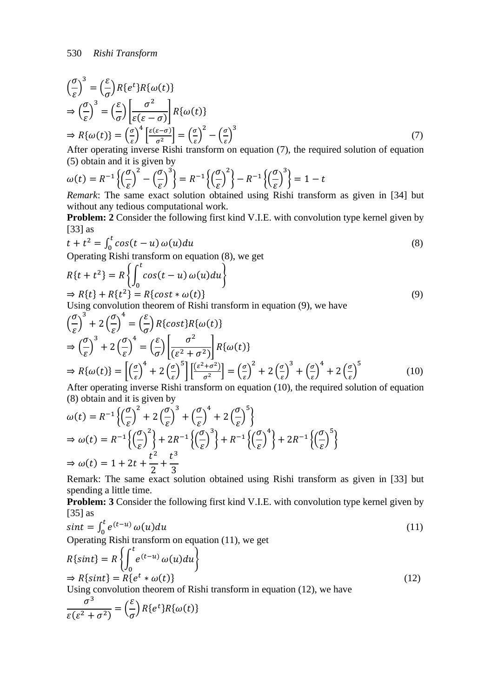$$
\left(\frac{\sigma}{\varepsilon}\right)^3 = \left(\frac{\varepsilon}{\sigma}\right) R\{e^t\} R\{\omega(t)\}\n\n\Rightarrow \left(\frac{\sigma}{\varepsilon}\right)^3 = \left(\frac{\varepsilon}{\sigma}\right) \left[\frac{\sigma^2}{\varepsilon(\varepsilon - \sigma)}\right] R\{\omega(t)\}\n\n\Rightarrow R\{\omega(t)\} = \left(\frac{\sigma}{\varepsilon}\right)^4 \left[\frac{\varepsilon(\varepsilon - \sigma)}{\sigma^2}\right] = \left(\frac{\sigma}{\varepsilon}\right)^2 - \left(\frac{\sigma}{\varepsilon}\right)^3
$$
\n(7)

After operating inverse Rishi transform on equation (7), the required solution of equation (5) obtain and it is given by

$$
\omega(t) = R^{-1} \left\{ \left( \frac{\sigma}{\varepsilon} \right)^2 - \left( \frac{\sigma}{\varepsilon} \right)^3 \right\} = R^{-1} \left\{ \left( \frac{\sigma}{\varepsilon} \right)^2 \right\} - R^{-1} \left\{ \left( \frac{\sigma}{\varepsilon} \right)^3 \right\} = 1 - t
$$
  
Remark: The same exact solution obtained using Rishi transfo

*Remark*: The same exact solution obtained using Rishi transform as given in [34] but without any tedious computational work.

**Problem: 2** Consider the following first kind V.I.E. with convolution type kernel given by [33] as

$$
t + t2 = \int_0^t \cos(t - u) \omega(u) du
$$
\n(8)

Operating Rishi transform on equation (8), we get

$$
R\{t + t^2\} = R\left\{\int_0^t \cos(t - u) \omega(u) du\right\}
$$
  
\n
$$
\Rightarrow R\{t\} + R\{t^2\} = R\{\cos t * \omega(t)\}
$$
 (9)

Using convolution theorem of Rishi transform in equation (9), we have

$$
\left(\frac{\sigma}{\varepsilon}\right)^3 + 2\left(\frac{\sigma}{\varepsilon}\right)^4 = \left(\frac{\varepsilon}{\sigma}\right)R\{\cos t\}R\{\omega(t)\}\
$$
\n
$$
\Rightarrow \left(\frac{\sigma}{\varepsilon}\right)^3 + 2\left(\frac{\sigma}{\varepsilon}\right)^4 = \left(\frac{\varepsilon}{\sigma}\right)\left[\frac{\sigma^2}{(\varepsilon^2 + \sigma^2)}\right]R\{\omega(t)\}\
$$
\n
$$
\Rightarrow R\{\omega(t)\} = \left[\left(\frac{\sigma}{\varepsilon}\right)^4 + 2\left(\frac{\sigma}{\varepsilon}\right)^5\right] \left[\frac{(\varepsilon^2 + \sigma^2)}{\sigma^2}\right] = \left(\frac{\sigma}{\varepsilon}\right)^2 + 2\left(\frac{\sigma}{\varepsilon}\right)^3 + \left(\frac{\sigma}{\varepsilon}\right)^4 + 2\left(\frac{\sigma}{\varepsilon}\right)^5 \tag{10}
$$
\nAfter exercise inverse, Richt's transform on equation (10), the required solution of equation

After operating inverse Rishi transform on equation (10), the required solution of equation (8) obtain and it is given by

$$
\begin{aligned} \omega(t) &= R^{-1} \left\{ \left( \frac{\sigma}{\varepsilon} \right)^2 + 2 \left( \frac{\sigma}{\varepsilon} \right)^3 + \left( \frac{\sigma}{\varepsilon} \right)^4 + 2 \left( \frac{\sigma}{\varepsilon} \right)^5 \right\} \\ \Rightarrow \omega(t) &= R^{-1} \left\{ \left( \frac{\sigma}{\varepsilon} \right)^2 \right\} + 2R^{-1} \left\{ \left( \frac{\sigma}{\varepsilon} \right)^3 \right\} + R^{-1} \left\{ \left( \frac{\sigma}{\varepsilon} \right)^4 \right\} + 2R^{-1} \left\{ \left( \frac{\sigma}{\varepsilon} \right)^5 \right\} \\ \Rightarrow \omega(t) &= 1 + 2t + \frac{t^2}{2} + \frac{t^3}{3} \end{aligned}
$$

Remark: The same exact solution obtained using Rishi transform as given in [33] but spending a little time.

**Problem: 3** Consider the following first kind V.I.E. with convolution type kernel given by [35] as

$$
sint = \int_0^t e^{(t-u)} \omega(u) du
$$
  
Operating Rishi transform on equation (11), we get  

$$
\int_0^t e^{(t-u)} \omega(u) du
$$

$$
R\{sint\} = R\left\{\int_{0}^{e^{(t-u)}} \omega(u) du\right\}
$$
  
\n
$$
\Rightarrow R\{sint\} = R\{e^{t} * \omega(t)\}
$$
  
\nUsing convolution theorem of Rishi transform in equation (12), we have

Using convolution theorem of Rishi transform in equation (12), we have

$$
\frac{\sigma^3}{\varepsilon(\varepsilon^2 + \sigma^2)} = \left(\frac{\varepsilon}{\sigma}\right) R\{e^t\} R\{\omega(t)\}
$$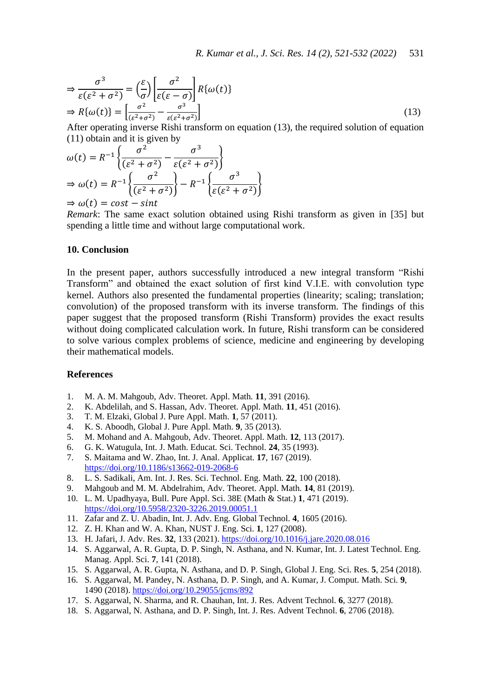$$
\Rightarrow \frac{\sigma^3}{\varepsilon(\varepsilon^2 + \sigma^2)} = \left(\frac{\varepsilon}{\sigma}\right) \left[\frac{\sigma^2}{\varepsilon(\varepsilon - \sigma)}\right] R\{\omega(t)\}\n\n\Rightarrow R\{\omega(t)\} = \left[\frac{\sigma^2}{(\varepsilon^2 + \sigma^2)} - \frac{\sigma^3}{\varepsilon(\varepsilon^2 + \sigma^2)}\right] \tag{13}
$$
\nAfter assuming a particular of equation of equation (12), the required solution of equation (13).

After operating inverse Rishi transform on equation (13), the required solution of equation (11) obtain and it is given by

$$
\omega(t) = R^{-1} \left\{ \frac{\sigma^2}{(\varepsilon^2 + \sigma^2)} - \frac{\sigma^3}{\varepsilon(\varepsilon^2 + \sigma^2)} \right\}
$$
  
\n
$$
\Rightarrow \omega(t) = R^{-1} \left\{ \frac{\sigma^2}{(\varepsilon^2 + \sigma^2)} \right\} - R^{-1} \left\{ \frac{\sigma^3}{\varepsilon(\varepsilon^2 + \sigma^2)} \right\}
$$

 $\Rightarrow \omega(t) = cost - sint$ 

*Remark*: The same exact solution obtained using Rishi transform as given in [35] but spending a little time and without large computational work.

## **10. Conclusion**

In the present paper, authors successfully introduced a new integral transform "Rishi Transform" and obtained the exact solution of first kind V.I.E. with convolution type kernel. Authors also presented the fundamental properties (linearity; scaling; translation; convolution) of the proposed transform with its inverse transform. The findings of this paper suggest that the proposed transform (Rishi Transform) provides the exact results without doing complicated calculation work. In future, Rishi transform can be considered to solve various complex problems of science, medicine and engineering by developing their mathematical models.

#### **References**

- 1. M. A. M. Mahgoub, Adv. Theoret. Appl. Math*.* **11**, 391 (2016).
- 2. K. Abdelilah, and S. Hassan, Adv. Theoret. Appl. Math. **11**, 451 (2016).
- 3. T. M. Elzaki, Global J. Pure Appl. Math. **1**, 57 (2011).
- 4. K. S. Aboodh, Global J. Pure Appl. Math. **9**, 35 (2013).
- 5. M. Mohand and A. Mahgoub, Adv. Theoret. Appl. Math. **12**, 113 (2017).
- 6. G. K. Watugula, Int. J. Math. Educat. Sci. Technol. **24**, 35 (1993).
- 7. S. Maitama and W. Zhao, Int. J. Anal. Applicat*.* **17**, 167 (2019). <https://doi.org/10.1186/s13662-019-2068-6>
- 8. L. S. Sadikali, Am. Int. J. Res. Sci. Technol. Eng. Math*.* **22**, 100 (2018).
- 9. Mahgoub and M. M. Abdelrahim, Adv. Theoret. Appl. Math. **14**, 81 (2019).
- 10. L. M. Upadhyaya, Bull. Pure Appl. Sci. 38E (Math & Stat.) **1**, 471 (2019). <https://doi.org/10.5958/2320-3226.2019.00051.1>
- 11. Zafar and Z. U. Abadin, Int. J. Adv. Eng. Global Technol. **4**, 1605 (2016).
- 12. Z. H. Khan and W. A. Khan, NUST J. Eng. Sci. **1**, 127 (2008).
- 13. H. Jafari, J. Adv. Res. **32**, 133 (2021). <https://doi.org/10.1016/j.jare.2020.08.016>
- 14. S. Aggarwal, A. R. Gupta, D. P. Singh, N. Asthana, and N. Kumar, Int. J. Latest Technol. Eng. Manag. Appl. Sci. **7**, 141 (2018).
- 15. S. Aggarwal, A. R. Gupta, N. Asthana, and D. P. Singh, Global J. Eng. Sci. Res. **5**, 254 (2018).
- 16. S. Aggarwal, M. Pandey, N. Asthana, D. P. Singh, and A. Kumar, J. Comput. Math. Sci. **9**, 1490 (2018). <https://doi.org/10.29055/jcms/892>
- 17. S. Aggarwal, N. Sharma, and R. Chauhan, Int. J. Res. Advent Technol. **6**, 3277 (2018).
- 18. S. Aggarwal, N. Asthana, and D. P. Singh, Int. J. Res. Advent Technol. **6**, 2706 (2018).